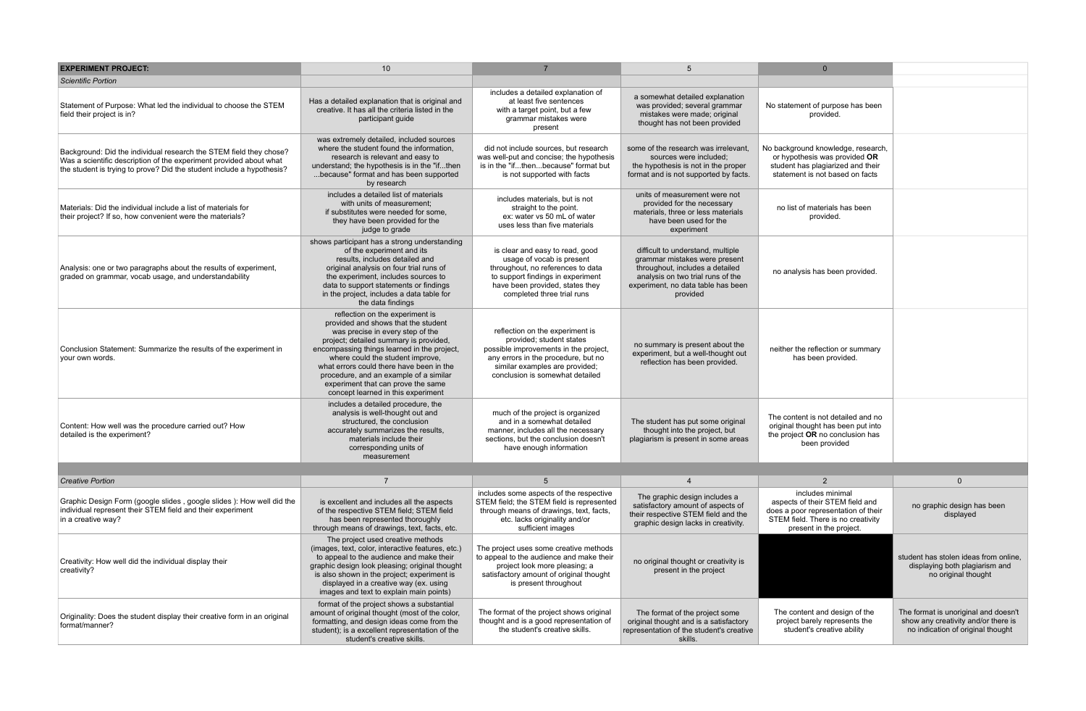| <b>EXPERIMENT PROJECT:</b>                                                                                                                                                                                        | 10                                                                                                                                                                                                                                                                                                                                                                                                        |                                                                                                                                                                                                                  | $5\overline{5}$                                                                                                                                                                              | $\Omega$                                                                                                                                                                      |                                                                                                                  |
|-------------------------------------------------------------------------------------------------------------------------------------------------------------------------------------------------------------------|-----------------------------------------------------------------------------------------------------------------------------------------------------------------------------------------------------------------------------------------------------------------------------------------------------------------------------------------------------------------------------------------------------------|------------------------------------------------------------------------------------------------------------------------------------------------------------------------------------------------------------------|----------------------------------------------------------------------------------------------------------------------------------------------------------------------------------------------|-------------------------------------------------------------------------------------------------------------------------------------------------------------------------------|------------------------------------------------------------------------------------------------------------------|
| <b>Scientific Portion</b>                                                                                                                                                                                         |                                                                                                                                                                                                                                                                                                                                                                                                           |                                                                                                                                                                                                                  |                                                                                                                                                                                              |                                                                                                                                                                               |                                                                                                                  |
| Statement of Purpose: What led the individual to choose the STEM<br>field their project is in?                                                                                                                    | Has a detailed explanation that is original and<br>creative. It has all the criteria listed in the<br>participant quide                                                                                                                                                                                                                                                                                   | includes a detailed explanation of<br>at least five sentences<br>with a target point, but a few<br>grammar mistakes were<br>present                                                                              | a somewhat detailed explanation<br>was provided; several grammar<br>mistakes were made; original<br>thought has not been provided                                                            | No statement of purpose has been<br>provided.                                                                                                                                 |                                                                                                                  |
| Background: Did the individual research the STEM field they chose?<br>Was a scientific description of the experiment provided about what<br>the student is trying to prove? Did the student include a hypothesis? | was extremely detailed, included sources<br>where the student found the information.<br>research is relevant and easy to<br>understand; the hypothesis is in the "ifthen<br>because" format and has been supported<br>by research                                                                                                                                                                         | did not include sources, but research<br>was well-put and concise; the hypothesis<br>is in the "ifthenbecause" format but<br>is not supported with facts                                                         | some of the research was irrelevant.<br>sources were included:<br>the hypothesis is not in the proper<br>format and is not supported by facts.                                               | No background knowledge, research,<br>or hypothesis was provided OR<br>student has plagiarized and their<br>statement is not based on facts                                   |                                                                                                                  |
| Materials: Did the individual include a list of materials for<br>their project? If so, how convenient were the materials?                                                                                         | includes a detailed list of materials<br>with units of measurement;<br>if substitutes were needed for some,<br>they have been provided for the<br>judge to grade                                                                                                                                                                                                                                          | includes materials, but is not<br>straight to the point.<br>ex: water vs 50 mL of water<br>uses less than five materials                                                                                         | units of measurement were not<br>provided for the necessary<br>materials, three or less materials<br>have been used for the<br>experiment                                                    | no list of materials has been<br>provided.                                                                                                                                    |                                                                                                                  |
| Analysis: one or two paragraphs about the results of experiment,<br>graded on grammar, vocab usage, and understandability                                                                                         | shows participant has a strong understanding<br>of the experiment and its<br>results, includes detailed and<br>original analysis on four trial runs of<br>the experiment, includes sources to<br>data to support statements or findings<br>in the project, includes a data table for<br>the data findings                                                                                                 | is clear and easy to read, good<br>usage of vocab is present<br>throughout, no references to data<br>to support findings in experiment<br>have been provided, states they<br>completed three trial runs          | difficult to understand, multiple<br>grammar mistakes were present<br>throughout, includes a detailed<br>analysis on two trial runs of the<br>experiment, no data table has been<br>provided | no analysis has been provided.                                                                                                                                                |                                                                                                                  |
| Conclusion Statement: Summarize the results of the experiment in<br>your own words.                                                                                                                               | reflection on the experiment is<br>provided and shows that the student<br>was precise in every step of the<br>project; detailed summary is provided,<br>encompassing things learned in the project,<br>where could the student improve,<br>what errors could there have been in the<br>procedure, and an example of a similar<br>experiment that can prove the same<br>concept learned in this experiment | reflection on the experiment is<br>provided; student states<br>possible improvements in the project,<br>any errors in the procedure, but no<br>similar examples are provided;<br>conclusion is somewhat detailed | no summary is present about the<br>experiment, but a well-thought out<br>reflection has been provided.                                                                                       | neither the reflection or summary<br>has been provided.                                                                                                                       |                                                                                                                  |
| Content: How well was the procedure carried out? How<br>detailed is the experiment?                                                                                                                               | includes a detailed procedure, the<br>analysis is well-thought out and<br>structured, the conclusion<br>accurately summarizes the results,<br>materials include their<br>corresponding units of<br>measurement                                                                                                                                                                                            | much of the project is organized<br>and in a somewhat detailed<br>manner, includes all the necessary<br>sections, but the conclusion doesn't<br>have enough information                                          | The student has put some original<br>thought into the project, but<br>plagiarism is present in some areas                                                                                    | The content is not detailed and no<br>original thought has been put into<br>the project OR no conclusion has<br>been provided                                                 |                                                                                                                  |
|                                                                                                                                                                                                                   |                                                                                                                                                                                                                                                                                                                                                                                                           |                                                                                                                                                                                                                  |                                                                                                                                                                                              |                                                                                                                                                                               |                                                                                                                  |
| <b>Creative Portion</b><br>Graphic Design Form (google slides, google slides): How well did the<br>individual represent their STEM field and their experiment<br>in a creative way?                               | $\overline{7}$<br>is excellent and includes all the aspects<br>of the respective STEM field; STEM field<br>has been represented thoroughly<br>through means of drawings, text, facts, etc.                                                                                                                                                                                                                | 5<br>includes some aspects of the respective<br>STEM field; the STEM field is represented<br>through means of drawings, text, facts,<br>etc. lacks originality and/or<br>sufficient images                       | $\overline{4}$<br>The graphic design includes a<br>satisfactory amount of aspects of<br>their respective STEM field and the<br>graphic design lacks in creativity.                           | $\overline{2}$<br>includes minimal<br>aspects of their STEM field and<br>does a poor representation of their<br>STEM field. There is no creativity<br>present in the project. | $\mathbf{0}$<br>no graphic design has been<br>displayed                                                          |
| Creativity: How well did the individual display their<br>creativity?                                                                                                                                              | The project used creative methods<br>(images, text, color, interactive features, etc.)<br>to appeal to the audience and make their<br>graphic design look pleasing; original thought<br>is also shown in the project; experiment is<br>displayed in a creative way (ex. using<br>images and text to explain main points)                                                                                  | The project uses some creative methods<br>to appeal to the audience and make their<br>project look more pleasing; a<br>satisfactory amount of original thought<br>is present throughout                          | no original thought or creativity is<br>present in the project                                                                                                                               |                                                                                                                                                                               | student has stolen ideas from online.<br>displaying both plagiarism and<br>no original thought                   |
| Originality: Does the student display their creative form in an original<br>format/manner?                                                                                                                        | format of the project shows a substantial<br>amount of original thought (most of the color,<br>formatting, and design ideas come from the<br>student); is a excellent representation of the<br>student's creative skills.                                                                                                                                                                                 | The format of the project shows original<br>thought and is a good representation of<br>the student's creative skills.                                                                                            | The format of the project some<br>original thought and is a satisfactory<br>representation of the student's creative<br>skills.                                                              | The content and design of the<br>project barely represents the<br>student's creative ability                                                                                  | The format is unoriginal and doesn't<br>show any creativity and/or there is<br>no indication of original thought |